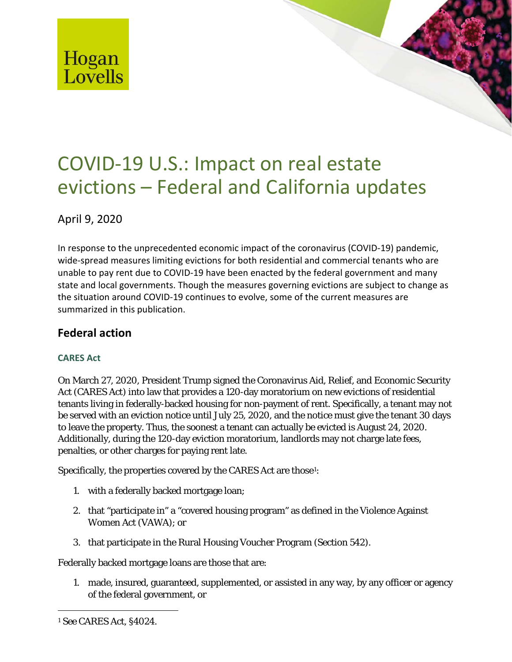

# COVID-19 U.S.: Impact on real estate evictions – Federal and California updates

April 9, 2020

In response to the unprecedented economic impact of the coronavirus (COVID-19) pandemic, wide-spread measures limiting evictions for both residential and commercial tenants who are unable to pay rent due to COVID-19 have been enacted by the federal government and many state and local governments. Though the measures governing evictions are subject to change as the situation around COVID-19 continues to evolve, some of the current measures are summarized in this publication.

# **Federal action**

## **CARES Act**

On March 27, 2020, President Trump signed the Coronavirus Aid, Relief, and Economic Security Act (CARES Act) into law that provides a 120-day moratorium on new evictions of residential tenants living in federally-backed housing for non-payment of rent. Specifically, a tenant may not be served with an eviction notice until July 25, 2020, and the notice must give the tenant 30 days to leave the property. Thus, the soonest a tenant can actually be evicted is August 24, 2020. Additionally, during the 120-day eviction moratorium, landlords may not charge late fees, penalties, or other charges for paying rent late.

Specifically, the properties covered by the CARES Act are those $^{\rm 1:}$  $^{\rm 1:}$  $^{\rm 1:}$ 

- 1. with a federally backed mortgage loan;
- 2. that "participate in" a "covered housing program" as defined in the Violence Against Women Act (VAWA); or
- 3. that participate in the Rural Housing Voucher Program (Section 542).

Federally backed mortgage loans are those that are:

1. made, insured, guaranteed, supplemented, or assisted in any way, by any officer or agency of the federal government, or

1

<span id="page-0-0"></span><sup>1</sup> *See* CARES Act, §4024.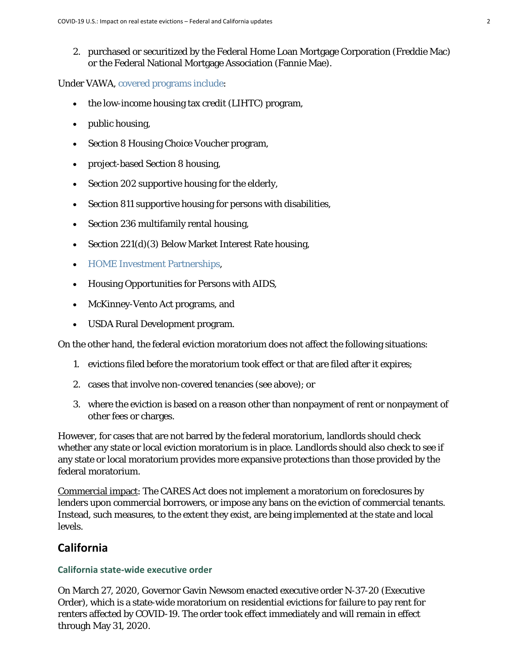2. purchased or securitized by the Federal Home Loan Mortgage Corporation (Freddie Mac) or the Federal National Mortgage Association (Fannie Mae).

Under VAWA, [covered programs include:](http://nhlp.org/files/VAWA-2013-Packet.pdf)

- the low-income housing tax credit (LIHTC) program,
- public housing,
- Section 8 Housing Choice Voucher program,
- project-based Section 8 housing,
- Section 202 supportive housing for the elderly,
- Section 811 supportive housing for persons with disabilities,
- Section 236 multifamily rental housing,
- Section 221(d)(3) Below Market Interest Rate housing,
- [HOME Investment Partnerships,](https://www.hud.gov/hudprograms/home-program)
- Housing Opportunities for Persons with AIDS,
- McKinney-Vento Act programs, and
- USDA Rural Development program.

On the other hand, the federal eviction moratorium does not affect the following situations:

- 1. evictions filed before the moratorium took effect or that are filed after it expires;
- 2. cases that involve non-covered tenancies (see above); or
- 3. where the eviction is based on a reason other than nonpayment of rent or nonpayment of other fees or charges.

However, for cases that are not barred by the federal moratorium, landlords should check whether any state or local eviction moratorium is in place. Landlords should also check to see if any state or local moratorium provides more expansive protections than those provided by the federal moratorium.

Commercial impact: The CARES Act does not implement a moratorium on foreclosures by lenders upon commercial borrowers, or impose any bans on the eviction of commercial tenants. Instead, such measures, to the extent they exist, are being implemented at the state and local levels.

## **California**

#### **California state-wide executive order**

On March 27, 2020, Governor Gavin Newsom enacted executive order N-37-20 (Executive Order), which is a state-wide moratorium on residential evictions for failure to pay rent for renters affected by COVID-19. The order took effect immediately and will remain in effect through May 31, 2020.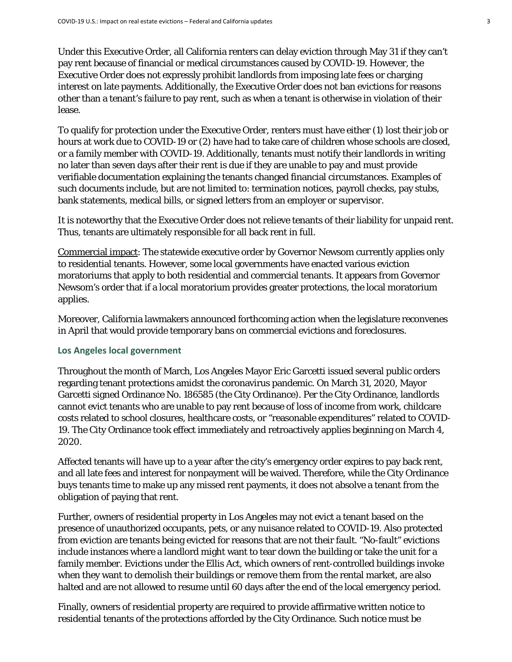Under this Executive Order, all California renters can delay eviction through May 31 if they can't pay rent because of financial or medical circumstances caused by COVID-19. However, the Executive Order does not expressly prohibit landlords from imposing late fees or charging interest on late payments. Additionally, the Executive Order does not ban evictions for reasons other than a tenant's failure to pay rent, such as when a tenant is otherwise in violation of their lease.

To qualify for protection under the Executive Order, renters must have either (1) lost their job or hours at work due to COVID-19 or (2) have had to take care of children whose schools are closed, or a family member with COVID-19. Additionally, tenants must notify their landlords in writing no later than seven days after their rent is due if they are unable to pay and must provide verifiable documentation explaining the tenants changed financial circumstances. Examples of such documents include, but are not limited to: termination notices, payroll checks, pay stubs, bank statements, medical bills, or signed letters from an employer or supervisor.

It is noteworthy that the Executive Order does not relieve tenants of their liability for unpaid rent. Thus, tenants are ultimately responsible for all back rent in full.

Commercial impact: The statewide executive order by Governor Newsom currently applies only to residential tenants. However, some local governments have enacted various eviction moratoriums that apply to both residential and commercial tenants. It appears from Governor Newsom's order that if a local moratorium provides greater protections, the local moratorium applies.

Moreover, California lawmakers announced forthcoming action when the legislature reconvenes in April that would provide temporary bans on commercial evictions and foreclosures.

#### **Los Angeles local government**

Throughout the month of March, Los Angeles Mayor Eric Garcetti issued several public orders regarding tenant protections amidst the coronavirus pandemic. On March 31, 2020, Mayor Garcetti signed Ordinance No. 186585 (the City Ordinance). Per the City Ordinance, landlords cannot evict tenants who are unable to pay rent because of loss of income from work, childcare costs related to school closures, healthcare costs, or "reasonable expenditures" related to COVID-19. The City Ordinance took effect immediately and retroactively applies beginning on March 4, 2020.

Affected tenants will have up to a year after the city's emergency order expires to pay back rent, and all late fees and interest for nonpayment will be waived. Therefore, while the City Ordinance buys tenants time to make up any missed rent payments, it does not absolve a tenant from the obligation of paying that rent.

Further, owners of residential property in Los Angeles may not evict a tenant based on the presence of unauthorized occupants, pets, or any nuisance related to COVID-19. Also protected from eviction are tenants being evicted for reasons that are not their fault. "No-fault" evictions include instances where a landlord might want to tear down the building or take the unit for a family member. Evictions under the Ellis Act, which owners of rent-controlled buildings invoke when they want to demolish their buildings or remove them from the rental market, are also halted and are not allowed to resume until 60 days after the end of the local emergency period.

Finally, owners of residential property are required to provide affirmative written notice to residential tenants of the protections afforded by the City Ordinance. Such notice must be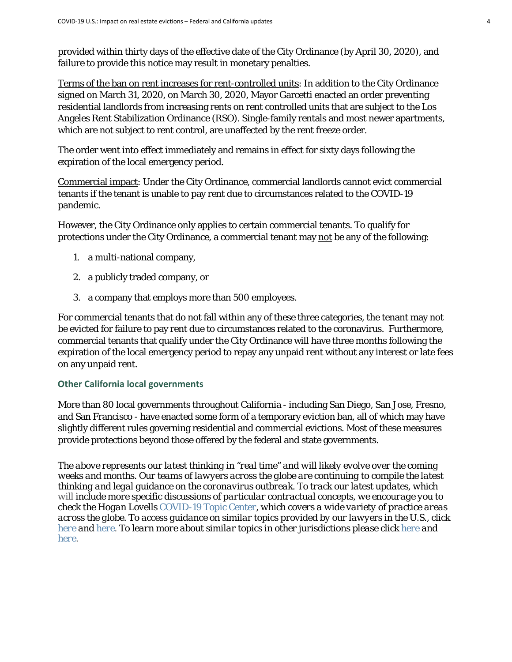provided within thirty days of the effective date of the City Ordinance (by April 30, 2020), and failure to provide this notice may result in monetary penalties.

Terms of the ban on rent increases for rent-controlled units: In addition to the City Ordinance signed on March 31, 2020, on March 30, 2020, Mayor Garcetti enacted an order preventing residential landlords from increasing rents on rent controlled units that are subject to the Los Angeles Rent Stabilization Ordinance (RSO). Single-family rentals and most newer apartments, which are not subject to rent control, are unaffected by the rent freeze order.

The order went into effect immediately and remains in effect for sixty days following the expiration of the local emergency period.

Commercial impact: Under the City Ordinance, commercial landlords cannot evict commercial tenants if the tenant is unable to pay rent due to circumstances related to the COVID-19 pandemic.

However, the City Ordinance only applies to certain commercial tenants. To qualify for protections under the City Ordinance, a commercial tenant may not be any of the following:

- 1. a multi-national company,
- 2. a publicly traded company, or
- 3. a company that employs more than 500 employees.

For commercial tenants that do not fall within any of these three categories, the tenant may not be evicted for failure to pay rent due to circumstances related to the coronavirus. Furthermore, commercial tenants that qualify under the City Ordinance will have three months following the expiration of the local emergency period to repay any unpaid rent without any interest or late fees on any unpaid rent.

## **Other California local governments**

More than 80 local governments throughout California - including San Diego, San Jose, Fresno, and San Francisco - have enacted some form of a temporary eviction ban, all of which may have slightly different rules governing residential and commercial evictions. Most of these measures provide protections beyond those offered by the federal and state governments.

*The above represents our latest thinking in "real time" and will likely evolve over the coming weeks and months. Our teams of lawyers across the globe are continuing to compile the latest thinking and legal guidance on the coronavirus outbreak. To track our latest updates, which will include more specific discussions of particular contractual concepts, we encourage you to check the Hogan Lovells [COVID-19 Topic Center,](https://www.hoganlovells.com/en/knowledge/topic-centers/covid-19) which covers a wide variety of practice areas across the globe. To access guidance on similar topics provided by our lawyers in the U.S., click [here a](https://www.hoganlovells.com/en/publications/navigating-coronavirus-top-real-estate-industry-considerations)nd [here.](https://www.hoganlovells.com/en/publications/navigating-coronavirus-considerations-for-rent-modifications-in-the-us) To learn more about similar topics in other jurisdictions please click [here](https://www.hoganlovells.com/en/publications/covid-19-risks-and-responsibilities-for-uk-landlords) and [here.](https://www.hoganlovells.com/en/publications/90-rent-reduction-for-tenants-in-shopping-centres)*